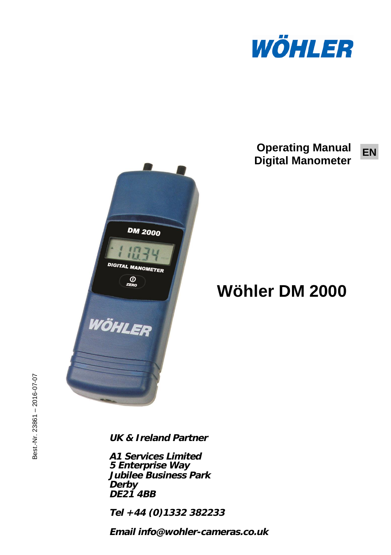

#### **Operating Manual**<sub>EN</sub> **Digital Manometer**



# **Wöhler DM 2000**

**UK & Ireland Partner**

**A1 Services Limited 5 Enterprise Way Jubilee Business Park Derby DE21 4BB**

**Tel +44 (0)1332 382233**

**Email info@wohler-cameras.co.uk**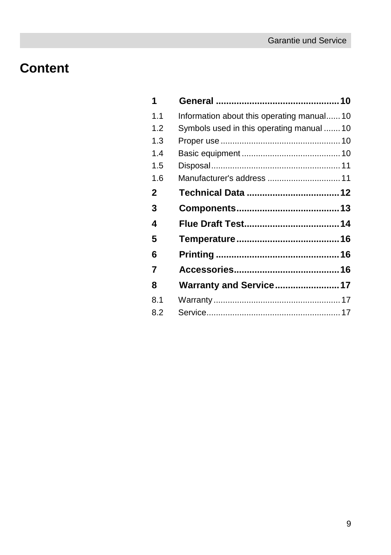# **Content**

| 1            |                                           |  |
|--------------|-------------------------------------------|--|
| 1.1          | Information about this operating manual10 |  |
| 1.2          | Symbols used in this operating manual  10 |  |
| 1.3          |                                           |  |
| 14           |                                           |  |
| 1.5          |                                           |  |
| 1.6          | Manufacturer's address  11                |  |
| $\mathbf{2}$ |                                           |  |
| 3            |                                           |  |
| 4            |                                           |  |
| 5            |                                           |  |
| 6            |                                           |  |
| 7            |                                           |  |
| 8            | Warranty and Service 17                   |  |
| 8.1          |                                           |  |
| 8.2          |                                           |  |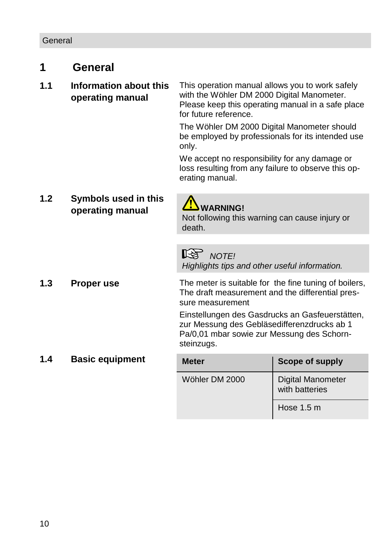## <span id="page-2-0"></span>**1 General**

#### <span id="page-2-1"></span>**1.1 Information about this operating manual** This operation manual allows you to work safely with the Wöhler DM 2000 Digital Manometer. Please keep this operating manual in a safe place for future reference.

The Wöhler DM 2000 Digital Manometer should be employed by professionals for its intended use only.

We accept no responsibility for any damage or loss resulting from any failure to observe this operating manual.

<span id="page-2-2"></span>**1.2 Symbols used in this operating manual 4.1 WARNING!** 



Not following this warning can cause injury or death.

**NOTE!** 

*Highlights tips and other useful information.*

<span id="page-2-3"></span>**1.3 Proper use** The meter is suitable for the fine tuning of boilers, The draft measurement and the differential pressure measurement Einstellungen des Gasdrucks an Gasfeuerstätten, zur Messung des Gebläsedifferenzdrucks ab 1 Pa/0,01 mbar sowie zur Messung des Schornsteinzugs.

# <span id="page-2-4"></span>**1.4 Basic equipment Meter Meter Scope of supply** Wöhler DM 2000 | Digital Manometer with batteries Hose 1.5 m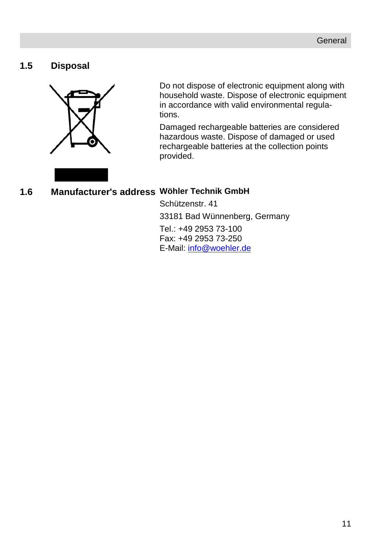#### <span id="page-3-0"></span>**1.5 Disposal**



Do not dispose of electronic equipment along with household waste. Dispose of electronic equipment in accordance with valid environmental regulations.

Damaged rechargeable batteries are considered hazardous waste. Dispose of damaged or used rechargeable batteries at the collection points provided.

#### <span id="page-3-2"></span><span id="page-3-1"></span>**1.6 Manufacturer's address Wöhler Technik GmbH**

Schützenstr. 41 33181 Bad Wünnenberg, Germany Tel.: +49 2953 73-100 Fax: +49 2953 73-250 E-Mail: [info@woehler.de](mailto:info@woehler.de)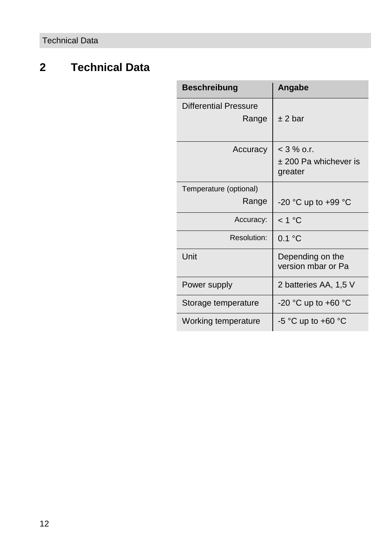## **2 Technical Data**

| <b>Beschreibung</b>            | Angabe                                             |
|--------------------------------|----------------------------------------------------|
| Differential Pressure<br>Range | + 2 bar                                            |
| Accuracy                       | $<$ 3 % o.r.<br>$±$ 200 Pa whichever is<br>greater |
| Temperature (optional)         |                                                    |
| Range                          | -20 °C up to +99 °C                                |
| Accuracy:                      | < 1 °C                                             |
| Resolution:                    | 0.1 °C                                             |
| Unit                           | Depending on the<br>version mbar or Pa             |
| Power supply                   | 2 batteries AA, 1,5 V                              |
| Storage temperature            | -20 °C up to +60 °C                                |
| Working temperature            | -5 °C up to +60 °C                                 |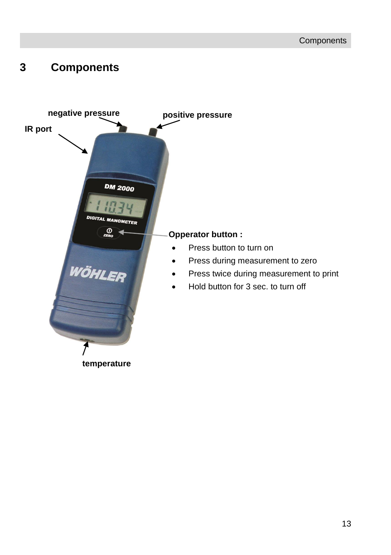## <span id="page-5-0"></span>**3 Components**

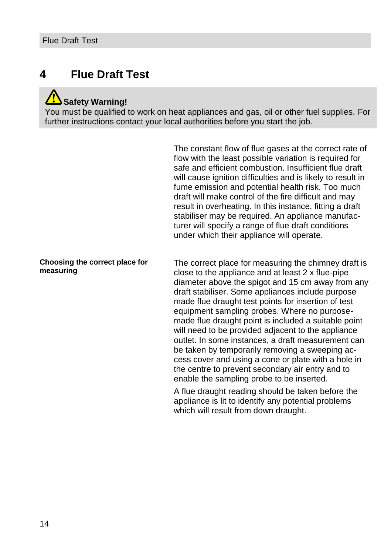#### <span id="page-6-0"></span>**4 Flue Draft Test**

#### **Safety Warning!**

You must be qualified to work on heat appliances and gas, oil or other fuel supplies. For further instructions contact your local authorities before you start the job.

> The constant flow of flue gases at the correct rate of flow with the least possible variation is required for safe and efficient combustion. Insufficient flue draft will cause ignition difficulties and is likely to result in fume emission and potential health risk. Too much draft will make control of the fire difficult and may result in overheating. In this instance, fitting a draft stabiliser may be required. An appliance manufacturer will specify a range of flue draft conditions under which their appliance will operate.

#### **Choosing the correct place for measuring**

The correct place for measuring the chimney draft is close to the appliance and at least 2 x flue-pipe diameter above the spigot and 15 cm away from any draft stabiliser. Some appliances include purpose made flue draught test points for insertion of test equipment sampling probes. Where no purposemade flue draught point is included a suitable point will need to be provided adjacent to the appliance outlet. In some instances, a draft measurement can be taken by temporarily removing a sweeping access cover and using a cone or plate with a hole in the centre to prevent secondary air entry and to enable the sampling probe to be inserted.

A flue draught reading should be taken before the appliance is lit to identify any potential problems which will result from down draught.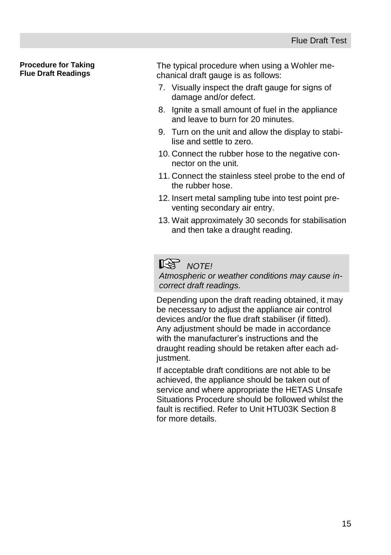#### **Procedure for Taking Flue Draft Readings**

The typical procedure when using a Wohler mechanical draft gauge is as follows:

- 7. Visually inspect the draft gauge for signs of damage and/or defect.
- 8. Ignite a small amount of fuel in the appliance and leave to burn for 20 minutes.
- 9. Turn on the unit and allow the display to stabilise and settle to zero.
- 10. Connect the rubber hose to the negative connector on the unit.
- 11. Connect the stainless steel probe to the end of the rubber hose.
- 12. Insert metal sampling tube into test point preventing secondary air entry.
- 13. Wait approximately 30 seconds for stabilisation and then take a draught reading.

## **NOTE!**

*Atmospheric or weather conditions may cause incorrect draft readings.*

Depending upon the draft reading obtained, it may be necessary to adjust the appliance air control devices and/or the flue draft stabiliser (if fitted). Any adjustment should be made in accordance with the manufacturer's instructions and the draught reading should be retaken after each adjustment.

If acceptable draft conditions are not able to be achieved, the appliance should be taken out of service and where appropriate the HETAS Unsafe Situations Procedure should be followed whilst the fault is rectified. Refer to Unit HTU03K Section 8 for more details.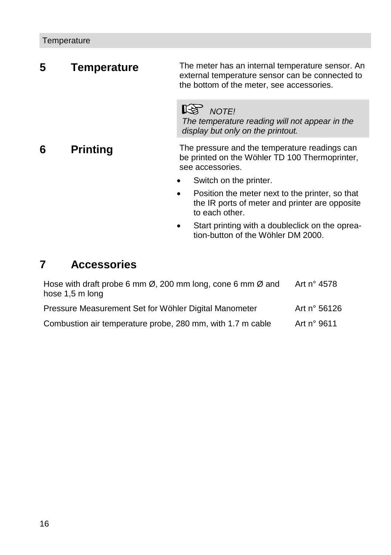<span id="page-8-0"></span>**5 Temperature** The meter has an internal temperature sensor. An external temperature sensor can be connected to the bottom of the meter, see accessories.

> **NOTE!** *The temperature reading will not appear in the display but only on the printout.*

<span id="page-8-1"></span>**6 Printing** The pressure and the temperature readings can be printed on the Wöhler TD 100 Thermoprinter, see accessories.

- Switch on the printer.
- Position the meter next to the printer, so that the IR ports of meter and printer are opposite to each other.
- Start printing with a doubleclick on the opreation-button of the Wöhler DM 2000.

#### <span id="page-8-2"></span>**7 Accessories**

| Hose with draft probe 6 mm $\varnothing$ , 200 mm long, cone 6 mm $\varnothing$ and<br>hose 1,5 m long | Art n° 4578  |
|--------------------------------------------------------------------------------------------------------|--------------|
| Pressure Measurement Set for Wöhler Digital Manometer                                                  | Art n° 56126 |
| Combustion air temperature probe, 280 mm, with 1.7 m cable                                             | Art n° 9611  |